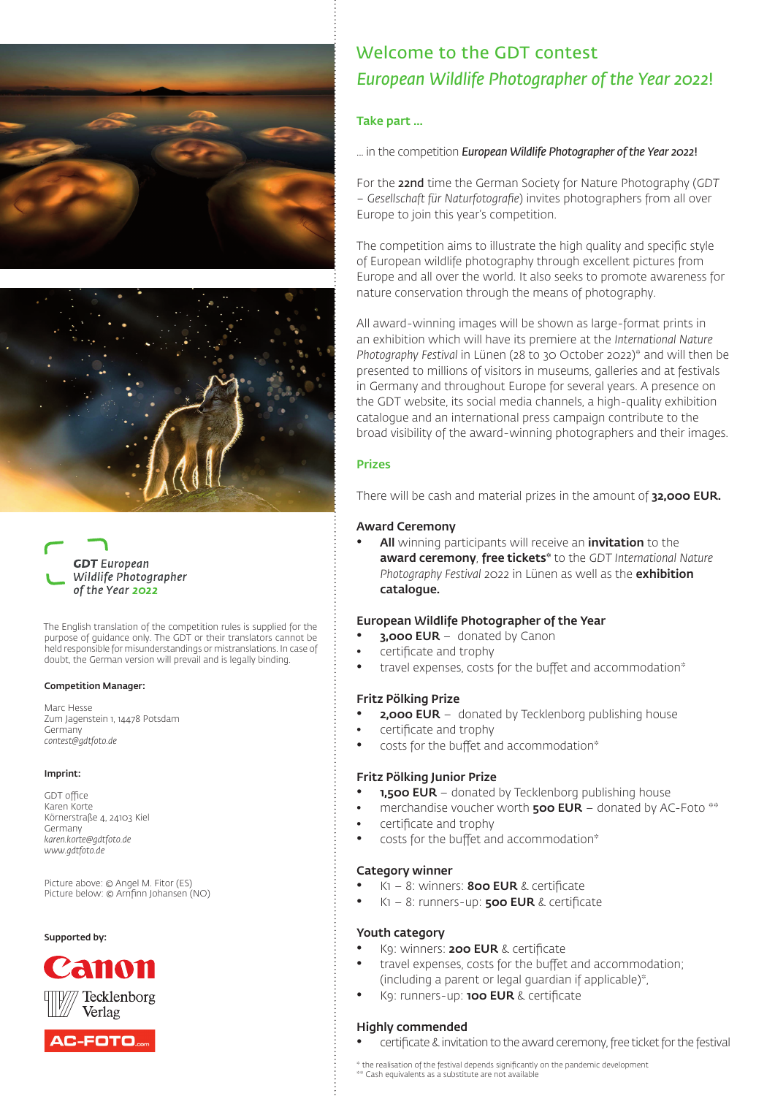





The English translation of the competition rules is supplied for the purpose of guidance only. The GDT or their translators cannot be held responsible for misunderstandings or mistranslations. In case of doubt, the German version will prevail and is legally binding.

#### Competition Manager:

Marc Hesse Zum Jagenstein 1, 14478 Potsdam Germany *contest@gdtfoto.de*

#### Imprint:

GDT office Karen Korte Körnerstraße 4, 24103 Kiel Germany *karen.korte@gdtfoto.de www.gdtfoto.de*

Picture above: © Angel M. Fitor (ES) Picture below: © Arnfinn Johansen (NO)

#### Supported by:





# Welcome to the GDT contest *European Wildlife Photographer of the Year 2022*!

#### Take part ...

... in the competition *European Wildlife Photographer of the Year 2022*!

For the 22nd time the German Society for Nature Photography (*GDT – Gesellschaft für Naturfotografie*) invites photographers from all over Europe to join this year's competition.

The competition aims to illustrate the high quality and specific style of European wildlife photography through excellent pictures from Europe and all over the world. It also seeks to promote awareness for nature conservation through the means of photography.

All award-winning images will be shown as large-format prints in an exhibition which will have its premiere at the *International Nature Photography Festival* in Lünen (28 to 30 October 2022)\* and will then be presented to millions of visitors in museums, galleries and at festivals in Germany and throughout Europe for several years. A presence on the GDT website, its social media channels, a high-quality exhibition catalogue and an international press campaign contribute to the broad visibility of the award-winning photographers and their images.

#### Prizes

There will be cash and material prizes in the amount of 32,000 EUR.

#### Award Ceremony

All winning participants will receive an *invitation* to the award ceremony, free tickets\* to the *GDT International Nature Photography Festival* 2022 in Lünen as well as the exhibition catalogue.

#### European Wildlife Photographer of the Year

- **3,000 EUR** donated by Canon
- certificate and trophy
- travel expenses, costs for the buffet and accommodation\*

#### Fritz Pölking Prize

- **2,000 EUR** donated by Tecklenborg publishing house
- certificate and trophy
- costs for the buffet and accommodation\*

#### Fritz Pölking Junior Prize

- **1.500 EUR** donated by Tecklenborg publishing house
- merchandise voucher worth  $\textbf{500}$  EUR donated by AC-Foto  $**$
- certificate and trophy
- costs for the buffet and accommodation\*

#### Category winner

- $K1 8$ : winners: **800 EUR** & certificate
- $K1 8$ : runners-up: **500 EUR** & certificate

#### Youth category

- K9: winners: 200 EUR & certificate
- travel expenses, costs for the buffet and accommodation; (including a parent or legal guardian if applicable)\*,
- K9: runners-up: 100 EUR & certificate

#### Highly commended

• certificate & invitation to the award ceremony, free ticket for the festival

\* the realisation of the festival depends significantly on the pandemic development \*\* Cash equivalents as a substitute are not available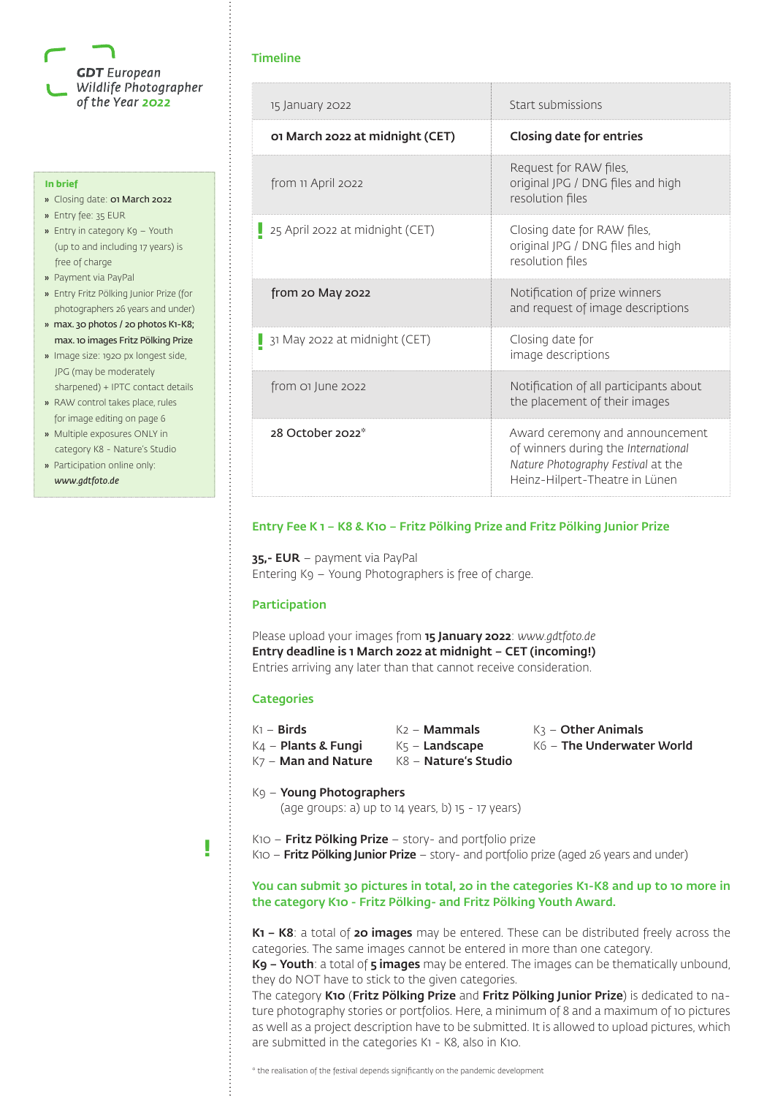

#### **In brief**

- » Closing date: 01 March 2022
- » Entry fee: 35 EUR
- » Entry in category K9 Youth (up to and including 17 years) is free of charge
- » Payment via PayPal
- » Entry Fritz Pölking Junior Prize (for photographers 26 years and under)
- » max. 30 photos / 20 photos K1-K8; max. 10 images Fritz Pölking Prize
- » Image size: 1920 px longest side, JPG (may be moderately sharpened) + IPTC contact details
- » RAW control takes place, rules for image editing on page 6
- » Multiple exposures ONLY in category K8 - Nature's Studio
- » Participation online only: *www.gdtfoto.de*

#### Timeline

| 15 January 2022                 | Start submissions                                                                                                                              |
|---------------------------------|------------------------------------------------------------------------------------------------------------------------------------------------|
| 01 March 2022 at midnight (CET) | <b>Closing date for entries</b>                                                                                                                |
| from 11 April 2022              | Request for RAW files,<br>original JPG / DNG files and high<br>resolution files                                                                |
| 25 April 2022 at midnight (CET) | Closing date for RAW files,<br>original JPG / DNG files and high<br>resolution files                                                           |
| from 20 May 2022                | Notification of prize winners<br>and request of image descriptions                                                                             |
| 31 May 2022 at midnight (CET)   | Closing date for<br>image descriptions                                                                                                         |
| from of June 2022               | Notification of all participants about<br>the placement of their images                                                                        |
| 28 October 2022*                | Award ceremony and announcement<br>of winners during the International<br>Nature Photography Festival at the<br>Heinz-Hilpert-Theatre in Lünen |

#### Entry Fee K 1 – K8 & K10 – Fritz Pölking Prize and Fritz Pölking Junior Prize

35,- EUR – payment via PayPal Entering K9 – Young Photographers is free of charge.

#### Participation

Please upload your images from 15 January 2022: *www.gdtfoto.de* Entry deadline is 1 March 2022 at midnight – CET (incoming!) Entries arriving any later than that cannot receive consideration.

#### **Categories**

K<sub>7</sub> – Man and Nature K8 – Nature's Studio

 $K1 -$  Birds  $K2 -$  Mammals  $K3 -$  Other Animals

- $K4$  Plants & Fungi  $K5$  Landscape  $K6$  The Underwater World
- 

K9 – Young Photographers

(age groups: a) up to 14 years, b) 15 - 17 years)

- **!**
- $K10$  Fritz Pölking Prize story- and portfolio prize
- K10 **Fritz Pölking Junior Prize** story- and portfolio prize (aged 26 years and under)

# You can submit 30 pictures in total, 20 in the categories K1-K8 and up to 10 more in the category K10 - Fritz Pölking- and Fritz Pölking Youth Award.

K1 – K8: a total of 20 images may be entered. These can be distributed freely across the categories. The same images cannot be entered in more than one category.

K9 – Youth: a total of 5 images may be entered. The images can be thematically unbound. they do NOT have to stick to the given categories.

The category K10 (Fritz Pölking Prize and Fritz Pölking Junior Prize) is dedicated to nature photography stories or portfolios. Here, a minimum of 8 and a maximum of 10 pictures as well as a project description have to be submitted. It is allowed to upload pictures, which are submitted in the categories K1 - K8, also in K10.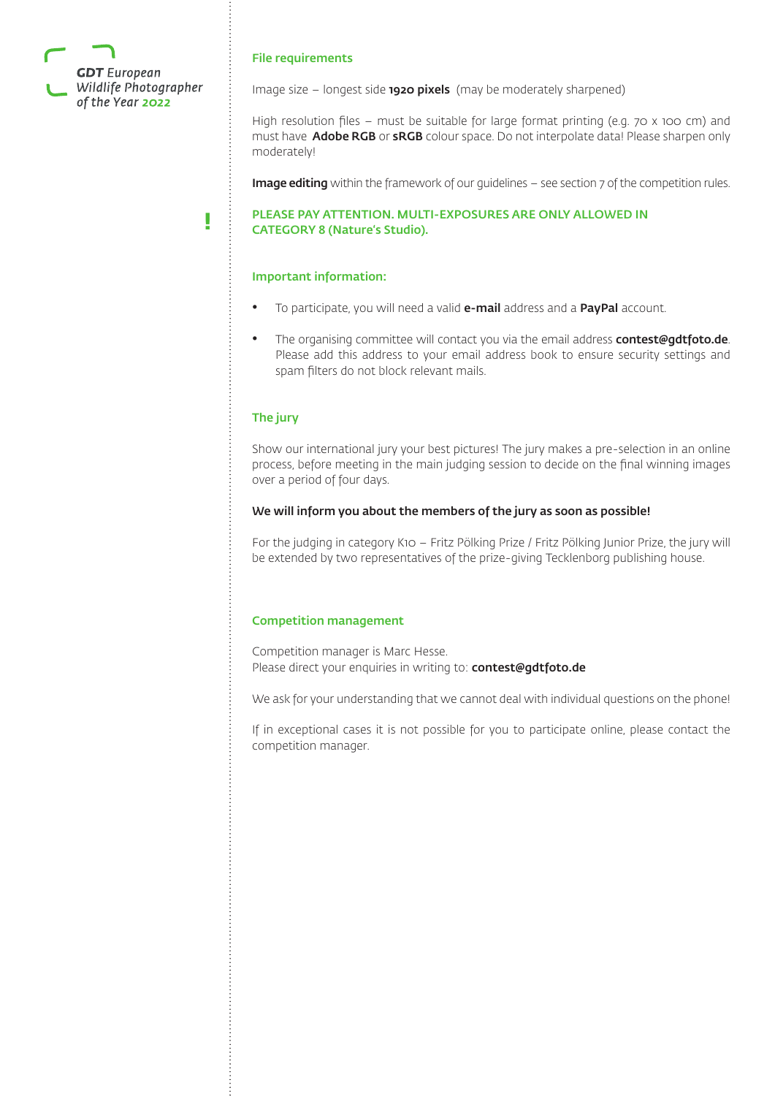

# File requirements

Image size  $-$  longest side  $1920$  pixels (may be moderately sharpened)

High resolution files – must be suitable for large format printing (e.g. 70 x 100 cm) and must have **Adobe RGB** or **sRGB** colour space. Do not interpolate data! Please sharpen only moderately!

Image editing within the framework of our guidelines - see section 7 of the competition rules.

## PLEASE PAY ATTENTION. MULTI-EXPOSURES ARE ONLY ALLOWED IN CATEGORY 8 (Nature's Studio).

# Important information:

- To participate, you will need a valid e-mail address and a PayPal account.
- The organising committee will contact you via the email address **contest@gdtfoto.de**. Please add this address to your email address book to ensure security settings and spam filters do not block relevant mails.

# The jury

**!**

Show our international jury your best pictures! The jury makes a pre-selection in an online process, before meeting in the main judging session to decide on the final winning images over a period of four days.

#### We will inform you about the members of the jury as soon as possible!

For the judging in category K10 – Fritz Pölking Prize / Fritz Pölking Junior Prize, the jury will be extended by two representatives of the prize-giving Tecklenborg publishing house.

# Competition management

Competition manager is Marc Hesse. Please direct your enquiries in writing to: contest@gdtfoto.de

We ask for your understanding that we cannot deal with individual questions on the phone!

If in exceptional cases it is not possible for you to participate online, please contact the competition manager.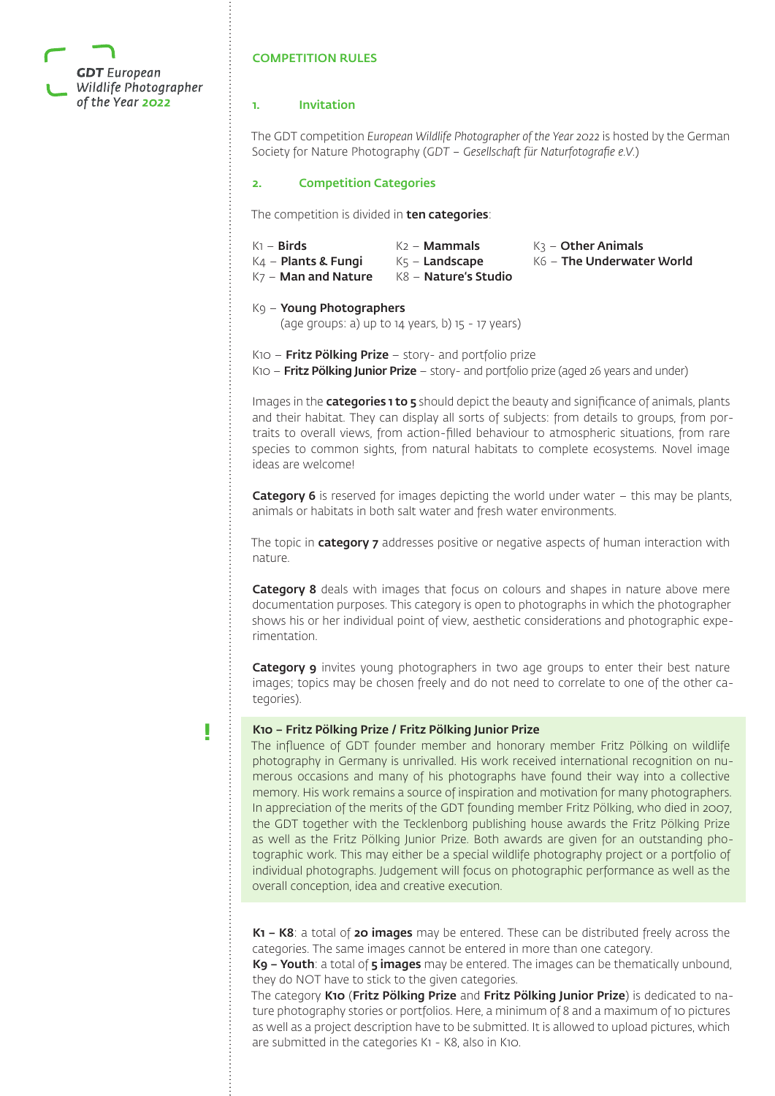

# COMPETITION RULES

#### 1. Invitation

The GDT competition *European Wildlife Photographer of the Year 2022* is hosted by the German Society for Nature Photography (*GDT – Gesellschaft für Naturfotografie e.V.*)

## 2. Competition Categories

The competition is divided in ten categories:

| $K1 -$ Birds<br>$K_4$ – Plants & Fungi<br>$K$ 7 – Man and Nature | $K2 -$ Mammals<br>$K5 -$ Landscape<br>$K8 -$ Nature's Studio | $K3 -$ Other Animals<br>$K6$ – The Underwater World |
|------------------------------------------------------------------|--------------------------------------------------------------|-----------------------------------------------------|
|                                                                  |                                                              |                                                     |

# K9 – Young Photographers

(age groups: a) up to 14 years, b) 15 - 17 years)

K10 - Fritz Pölking Prize - story- and portfolio prize

K10 – **Fritz Pölking Junior Prize** – story- and portfolio prize (aged 26 years and under)

Images in the **categories 1 to 5** should depict the beauty and significance of animals, plants and their habitat. They can display all sorts of subjects: from details to groups, from portraits to overall views, from action-filled behaviour to atmospheric situations, from rare species to common sights, from natural habitats to complete ecosystems. Novel image ideas are welcome!

**Category 6** is reserved for images depicting the world under water  $-$  this may be plants, animals or habitats in both salt water and fresh water environments.

The topic in category 7 addresses positive or negative aspects of human interaction with nature.

Category 8 deals with images that focus on colours and shapes in nature above mere documentation purposes. This category is open to photographs in which the photographer shows his or her individual point of view, aesthetic considerations and photographic experimentation.

Category 9 invites young photographers in two age groups to enter their best nature images; topics may be chosen freely and do not need to correlate to one of the other categories).

**!**

#### K10 – Fritz Pölking Prize / Fritz Pölking Junior Prize

The influence of GDT founder member and honorary member Fritz Pölking on wildlife photography in Germany is unrivalled. His work received international recognition on numerous occasions and many of his photographs have found their way into a collective memory. His work remains a source of inspiration and motivation for many photographers. In appreciation of the merits of the GDT founding member Fritz Pölking, who died in 2007, the GDT together with the Tecklenborg publishing house awards the Fritz Pölking Prize as well as the Fritz Pölking Junior Prize. Both awards are given for an outstanding photographic work. This may either be a special wildlife photography project or a portfolio of individual photographs. Judgement will focus on photographic performance as well as the overall conception, idea and creative execution.

K1 - K8: a total of 20 images may be entered. These can be distributed freely across the categories. The same images cannot be entered in more than one category.

K9 – Youth: a total of 5 images may be entered. The images can be thematically unbound. they do NOT have to stick to the given categories.

The category K10 (Fritz Pölking Prize and Fritz Pölking Junior Prize) is dedicated to nature photography stories or portfolios. Here, a minimum of 8 and a maximum of 10 pictures as well as a project description have to be submitted. It is allowed to upload pictures, which are submitted in the categories K1 - K8, also in K10.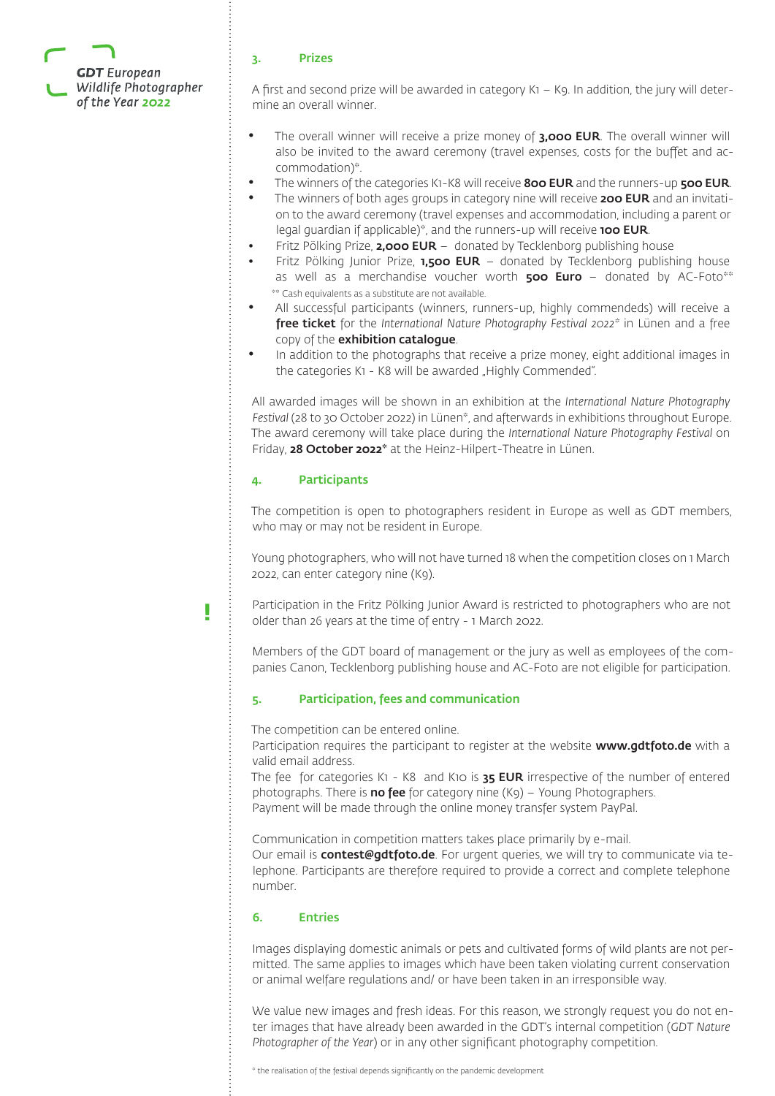

#### 3. Prizes

A first and second prize will be awarded in category K1 – K9. In addition, the jury will determine an overall winner.

- The overall winner will receive a prize money of 3,000 EUR. The overall winner will also be invited to the award ceremony (travel expenses, costs for the buffet and accommodation)\*.
- The winners of the categories K1-K8 will receive 800 EUR and the runners-up 500 EUR.
- The winners of both ages groups in category nine will receive 200 EUR and an invitation to the award ceremony (travel expenses and accommodation, including a parent or legal guardian if applicable)\*, and the runners-up will receive **100 EUR**.
- Fritz Pölking Prize, **2,000 EUR** donated by Tecklenborg publishing house
- Fritz Pölking Junior Prize,  $1,500$  EUR donated by Tecklenborg publishing house as well as a merchandise voucher worth  $500$  Euro - donated by AC-Foto\*\* \*\* Cash equivalents as a substitute are not available.
- All successful participants (winners, runners-up, highly commendeds) will receive a free ticket for the *International Nature Photography Festival 2022\** in Lünen and a free copy of the exhibition catalogue.
- In addition to the photographs that receive a prize money, eight additional images in the categories K1 - K8 will be awarded "Highly Commended".

All awarded images will be shown in an exhibition at the *International Nature Photography Festival* (28 to 30 October 2022) in Lünen\*, and afterwards in exhibitions throughout Europe. The award ceremony will take place during the *International Nature Photography Festival* on Friday, 28 October 2022\* at the Heinz-Hilpert-Theatre in Lünen.

#### 4. Participants

The competition is open to photographers resident in Europe as well as GDT members, who may or may not be resident in Europe.

Young photographers, who will not have turned 18 when the competition closes on 1 March 2022, can enter category nine (K9).

**!**

Participation in the Fritz Pölking Junior Award is restricted to photographers who are not older than 26 years at the time of entry - 1 March 2022.

Members of the GDT board of management or the jury as well as employees of the companies Canon, Tecklenborg publishing house and AC-Foto are not eligible for participation.

#### 5. Participation, fees and communication

The competition can be entered online.

Participation requires the participant to register at the website www.gdtfoto.de with a valid email address.

The fee for categories K1 - K8 and K10 is **35 EUR** irrespective of the number of entered photographs. There is **no fee** for category nine  $(Kq)$  – Young Photographers. Payment will be made through the online money transfer system PayPal.

Communication in competition matters takes place primarily by e-mail.

Our email is **contest@gdtfoto.de**. For urgent queries, we will try to communicate via telephone. Participants are therefore required to provide a correct and complete telephone number.

### 6. Entries

Images displaying domestic animals or pets and cultivated forms of wild plants are not permitted. The same applies to images which have been taken violating current conservation or animal welfare regulations and/ or have been taken in an irresponsible way.

We value new images and fresh ideas. For this reason, we strongly request you do not enter images that have already been awarded in the GDT's internal competition (*GDT Nature Photographer of the Year*) or in any other significant photography competition.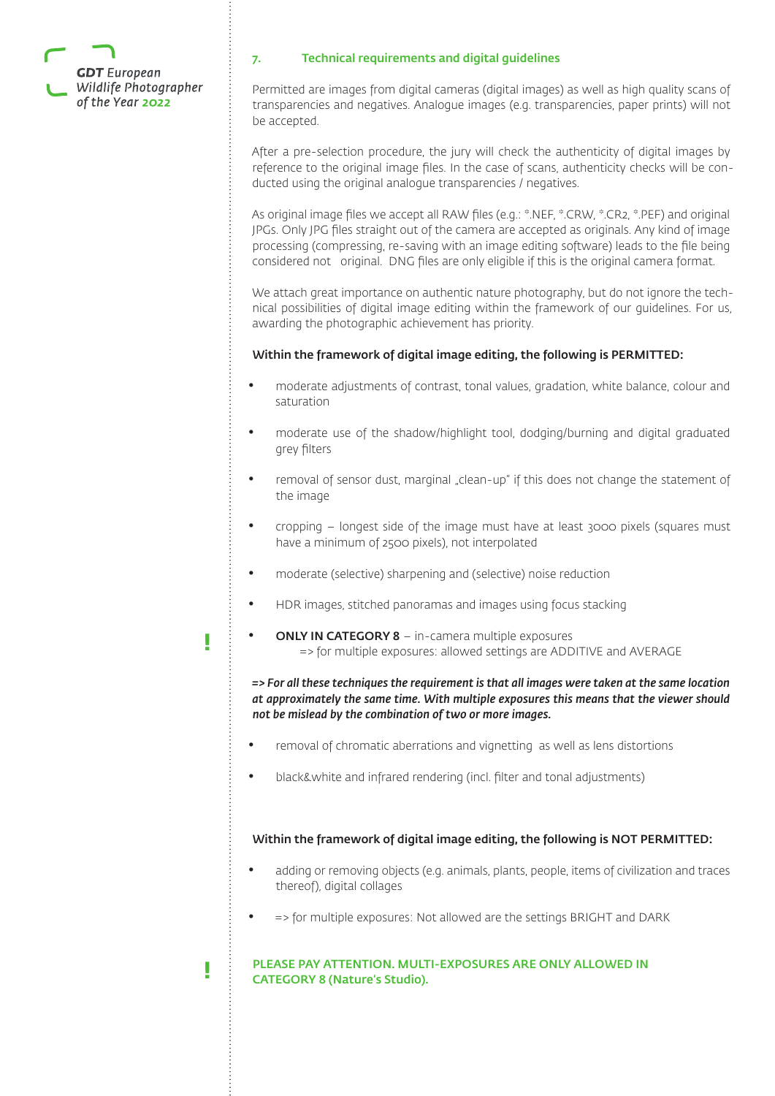

**!**

**!**

# 7. Technical requirements and digital guidelines

Permitted are images from digital cameras (digital images) as well as high quality scans of transparencies and negatives. Analogue images (e.g. transparencies, paper prints) will not be accepted.

After a pre-selection procedure, the jury will check the authenticity of digital images by reference to the original image files. In the case of scans, authenticity checks will be conducted using the original analogue transparencies / negatives.

As original image files we accept all RAW files (e.g.: \*.NEF, \*.CRW, \*.CR2, \*.PEF) and original JPGs. Only JPG files straight out of the camera are accepted as originals. Any kind of image processing (compressing, re-saving with an image editing software) leads to the file being considered not original. DNG files are only eligible if this is the original camera format.

We attach great importance on authentic nature photography, but do not ignore the technical possibilities of digital image editing within the framework of our guidelines. For us, awarding the photographic achievement has priority.

# Within the framework of digital image editing, the following is PERMITTED:

- moderate adjustments of contrast, tonal values, gradation, white balance, colour and saturation
- moderate use of the shadow/highlight tool, dodging/burning and digital graduated grey filters
- removal of sensor dust, marginal "clean-up" if this does not change the statement of the image
- cropping longest side of the image must have at least 3000 pixels (squares must have a minimum of 2500 pixels), not interpolated
- moderate (selective) sharpening and (selective) noise reduction
- HDR images, stitched panoramas and images using focus stacking
	- ONLY IN CATEGORY 8 in-camera multiple exposures => for multiple exposures: allowed settings are ADDITIVE and AVERAGE

*=> For all these techniques the requirement is that all images were taken at the same location at approximately the same time. With multiple exposures this means that the viewer should not be mislead by the combination of two or more images.*

- removal of chromatic aberrations and vignetting as well as lens distortions
- black&white and infrared rendering (incl. filter and tonal adjustments)

# Within the framework of digital image editing, the following is NOT PERMITTED:

- adding or removing objects (e.g. animals, plants, people, items of civilization and traces thereof), digital collages
- => for multiple exposures: Not allowed are the settings BRIGHT and DARK

# PLEASE PAY ATTENTION. MULTI-EXPOSURES ARE ONLY ALLOWED IN CATEGORY 8 (Nature's Studio).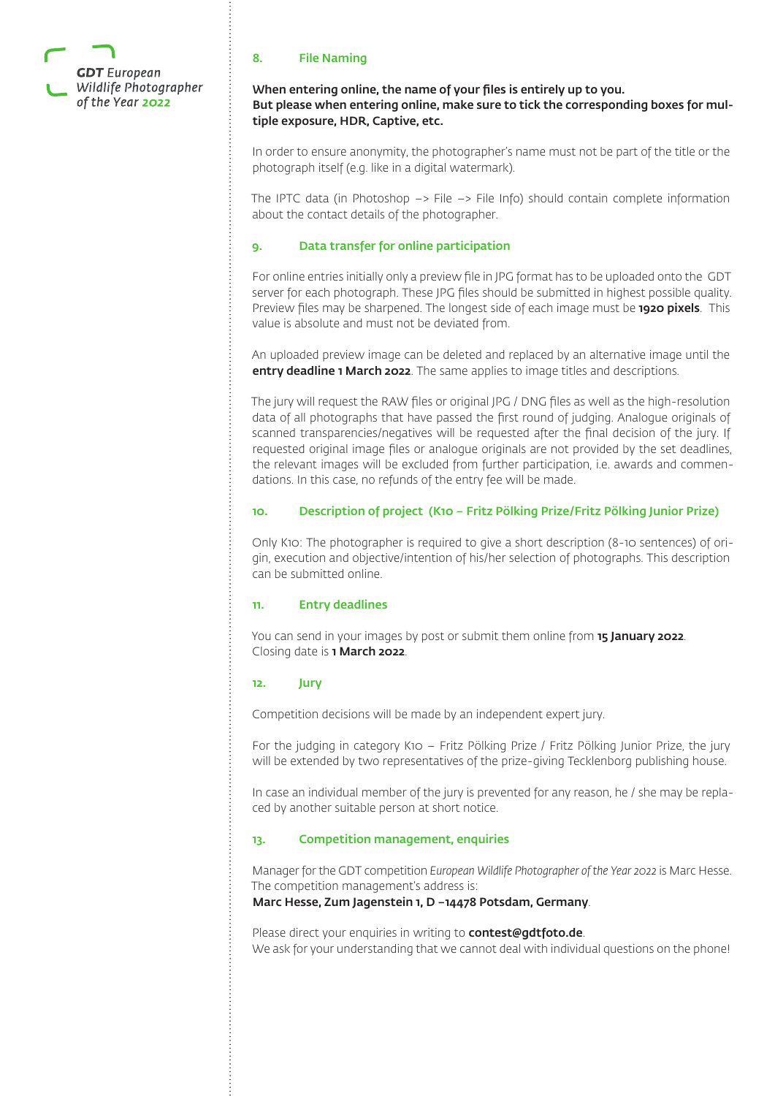

# 8. File Naming

# When entering online, the name of your files is entirely up to you. But please when entering online, make sure to tick the corresponding boxes for multiple exposure, HDR, Captive, etc.

In order to ensure anonymity, the photographer's name must not be part of the title or the photograph itself (e.g. like in a digital watermark).

The IPTC data (in Photoshop  $\rightarrow$  File  $\rightarrow$  File Info) should contain complete information about the contact details of the photographer.

# 9. Data transfer for online participation

For online entries initially only a preview file in JPG format has to be uploaded onto the GDT server for each photograph. These JPG files should be submitted in highest possible quality. Preview files may be sharpened. The longest side of each image must be **1920 pixels**. This value is absolute and must not be deviated from.

An uploaded preview image can be deleted and replaced by an alternative image until the entry deadline 1 March 2022. The same applies to image titles and descriptions.

The jury will request the RAW files or original JPG / DNG files as well as the high-resolution data of all photographs that have passed the first round of judging. Analogue originals of scanned transparencies/negatives will be requested after the final decision of the jury. If requested original image files or analogue originals are not provided by the set deadlines, the relevant images will be excluded from further participation, i.e. awards and commendations. In this case, no refunds of the entry fee will be made.

# 10. Description of project (K10 – Fritz Pölking Prize/Fritz Pölking Junior Prize)

Only K10: The photographer is required to give a short description (8-10 sentences) of origin, execution and objective/intention of his/her selection of photographs. This description can be submitted online.

#### 11. Entry deadlines

You can send in your images by post or submit them online from **15 January 2022**. Closing date is 1 March 2022.

#### 12. Jury

Competition decisions will be made by an independent expert jury.

For the judging in category K10 – Fritz Pölking Prize / Fritz Pölking Junior Prize, the jury will be extended by two representatives of the prize-giving Tecklenborg publishing house.

In case an individual member of the jury is prevented for any reason, he / she may be replaced by another suitable person at short notice.

# 13. Competition management, enquiries

Manager for the GDT competition *European Wildlife Photographer of the Year 2022* is Marc Hesse. The competition management's address is:

#### Marc Hesse, Zum Jagenstein 1, D –14478 Potsdam, Germany.

Please direct your enquiries in writing to **contest@gdtfoto.de**. We ask for your understanding that we cannot deal with individual questions on the phone!